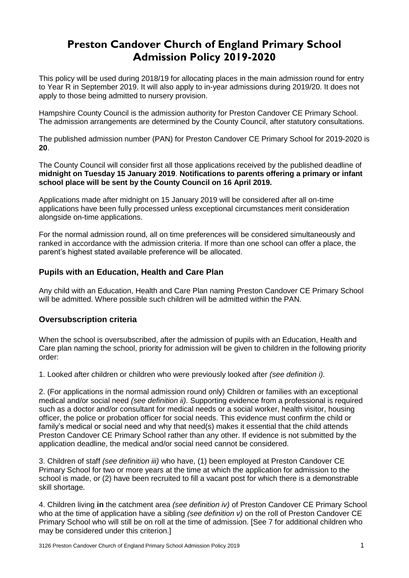# **Preston Candover Church of England Primary School Admission Policy 2019-2020**

This policy will be used during 2018/19 for allocating places in the main admission round for entry to Year R in September 2019. It will also apply to in-year admissions during 2019/20. It does not apply to those being admitted to nursery provision.

Hampshire County Council is the admission authority for Preston Candover CE Primary School. The admission arrangements are determined by the County Council, after statutory consultations.

The published admission number (PAN) for Preston Candover CE Primary School for 2019-2020 is **20**.

The County Council will consider first all those applications received by the published deadline of **midnight on Tuesday 15 January 2019**. **Notifications to parents offering a primary or infant school place will be sent by the County Council on 16 April 2019.**

Applications made after midnight on 15 January 2019 will be considered after all on-time applications have been fully processed unless exceptional circumstances merit consideration alongside on-time applications.

For the normal admission round, all on time preferences will be considered simultaneously and ranked in accordance with the admission criteria. If more than one school can offer a place, the parent's highest stated available preference will be allocated.

## **Pupils with an Education, Health and Care Plan**

Any child with an Education, Health and Care Plan naming Preston Candover CE Primary School will be admitted. Where possible such children will be admitted within the PAN.

#### **Oversubscription criteria**

When the school is oversubscribed, after the admission of pupils with an Education, Health and Care plan naming the school, priority for admission will be given to children in the following priority order:

1. Looked after children or children who were previously looked after *(see definition i).* 

2. (For applications in the normal admission round only) Children or families with an exceptional medical and/or social need *(see definition ii)*. Supporting evidence from a professional is required such as a doctor and/or consultant for medical needs or a social worker, health visitor, housing officer, the police or probation officer for social needs. This evidence must confirm the child or family's medical or social need and why that need(s) makes it essential that the child attends Preston Candover CE Primary School rather than any other. If evidence is not submitted by the application deadline, the medical and/or social need cannot be considered.

3. Children of staff *(see definition iii)* who have, (1) been employed at Preston Candover CE Primary School for two or more years at the time at which the application for admission to the school is made, or (2) have been recruited to fill a vacant post for which there is a demonstrable skill shortage.

4. Children living **in** the catchment area *(see definition iv)* of Preston Candover CE Primary School who at the time of application have a sibling *(see definition v)* on the roll of Preston Candover CE Primary School who will still be on roll at the time of admission. [See 7 for additional children who may be considered under this criterion.]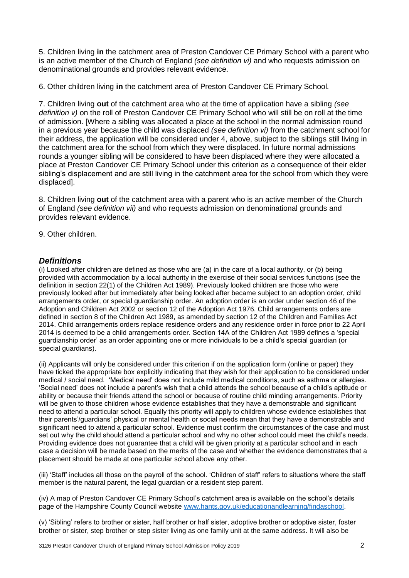5. Children living **in** the catchment area of Preston Candover CE Primary School with a parent who is an active member of the Church of England *(see definition vi)* and who requests admission on denominational grounds and provides relevant evidence.

6. Other children living **in** the catchment area of Preston Candover CE Primary School*.*

7. Children living **out** of the catchment area who at the time of application have a sibling *(see definition v)* on the roll of Preston Candover CE Primary School who will still be on roll at the time of admission. [Where a sibling was allocated a place at the school in the normal admission round in a previous year because the child was displaced *(see definition vi)* from the catchment school for their address, the application will be considered under 4, above, subject to the siblings still living in the catchment area for the school from which they were displaced. In future normal admissions rounds a younger sibling will be considered to have been displaced where they were allocated a place at Preston Candover CE Primary School under this criterion as a consequence of their elder sibling's displacement and are still living in the catchment area for the school from which they were displaced].

8. Children living **out** of the catchment area with a parent who is an active member of the Church of England *(see definition vii)* and who requests admission on denominational grounds and provides relevant evidence.

9. Other children.

#### *Definitions*

(i) Looked after children are defined as those who are (a) in the care of a local authority, or (b) being provided with accommodation by a local authority in the exercise of their social services functions (see the definition in section 22(1) of the Children Act 1989). Previously looked children are those who were previously looked after but immediately after being looked after became subject to an adoption order, child arrangements order, or special guardianship order. An adoption order is an order under section 46 of the Adoption and Children Act 2002 or section 12 of the Adoption Act 1976. Child arrangements orders are defined in section 8 of the Children Act 1989, as amended by section 12 of the Children and Families Act 2014. Child arrangements orders replace residence orders and any residence order in force prior to 22 April 2014 is deemed to be a child arrangements order. Section 14A of the Children Act 1989 defines a 'special guardianship order' as an order appointing one or more individuals to be a child's special guardian (or special guardians).

(ii) Applicants will only be considered under this criterion if on the application form (online or paper) they have ticked the appropriate box explicitly indicating that they wish for their application to be considered under medical / social need. 'Medical need' does not include mild medical conditions, such as asthma or allergies. 'Social need' does not include a parent's wish that a child attends the school because of a child's aptitude or ability or because their friends attend the school or because of routine child minding arrangements. Priority will be given to those children whose evidence establishes that they have a demonstrable and significant need to attend a particular school. Equally this priority will apply to children whose evidence establishes that their parents'/guardians' physical or mental health or social needs mean that they have a demonstrable and significant need to attend a particular school. Evidence must confirm the circumstances of the case and must set out why the child should attend a particular school and why no other school could meet the child's needs. Providing evidence does not guarantee that a child will be given priority at a particular school and in each case a decision will be made based on the merits of the case and whether the evidence demonstrates that a placement should be made at one particular school above any other.

(iii) 'Staff' includes all those on the payroll of the school. 'Children of staff' refers to situations where the staff member is the natural parent, the legal guardian or a resident step parent.

(iv) A map of Preston Candover CE Primary School's catchment area is available on the school's details page of the Hampshire County Council website [www.hants.gov.uk/educationandlearning/findaschool.](http://www.hants.gov.uk/educationandlearning/findaschool)

(v) 'Sibling' refers to brother or sister, half brother or half sister, adoptive brother or adoptive sister, foster brother or sister, step brother or step sister living as one family unit at the same address. It will also be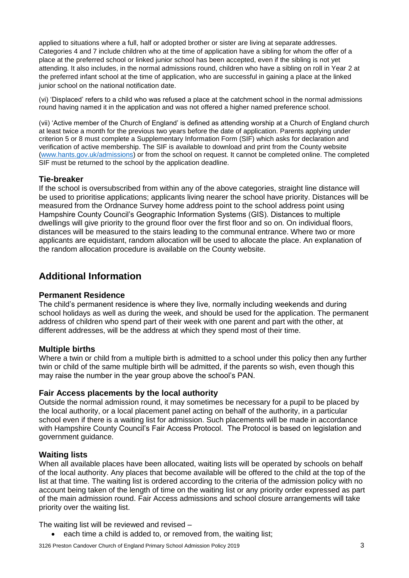applied to situations where a full, half or adopted brother or sister are living at separate addresses. Categories 4 and 7 include children who at the time of application have a sibling for whom the offer of a place at the preferred school or linked junior school has been accepted, even if the sibling is not yet attending. It also includes, in the normal admissions round, children who have a sibling on roll in Year 2 at the preferred infant school at the time of application, who are successful in gaining a place at the linked junior school on the national notification date.

(vi) 'Displaced' refers to a child who was refused a place at the catchment school in the normal admissions round having named it in the application and was not offered a higher named preference school.

(vii) 'Active member of the Church of England' is defined as attending worship at a Church of England church at least twice a month for the previous two years before the date of application. Parents applying under criterion 5 or 8 must complete a Supplementary Information Form (SIF) which asks for declaration and verification of active membership. The SIF is available to download and print from the County website [\(www.hants.gov.uk/admissions\)](http://www.hants.gov.uk/admissions) or from the school on request. It cannot be completed online. The completed SIF must be returned to the school by the application deadline.

## **Tie-breaker**

If the school is oversubscribed from within any of the above categories, straight line distance will be used to prioritise applications; applicants living nearer the school have priority. Distances will be measured from the Ordnance Survey home address point to the school address point using Hampshire County Council's Geographic Information Systems (GIS). Distances to multiple dwellings will give priority to the ground floor over the first floor and so on. On individual floors, distances will be measured to the stairs leading to the communal entrance. Where two or more applicants are equidistant, random allocation will be used to allocate the place. An explanation of the random allocation procedure is available on the County website.

# **Additional Information**

#### **Permanent Residence**

The child's permanent residence is where they live, normally including weekends and during school holidays as well as during the week, and should be used for the application. The permanent address of children who spend part of their week with one parent and part with the other, at different addresses, will be the address at which they spend most of their time.

#### **Multiple births**

Where a twin or child from a multiple birth is admitted to a school under this policy then any further twin or child of the same multiple birth will be admitted, if the parents so wish, even though this may raise the number in the year group above the school's PAN.

#### **Fair Access placements by the local authority**

Outside the normal admission round, it may sometimes be necessary for a pupil to be placed by the local authority, or a local placement panel acting on behalf of the authority, in a particular school even if there is a waiting list for admission. Such placements will be made in accordance with Hampshire County Council's Fair Access Protocol. The Protocol is based on legislation and government guidance.

# **Waiting lists**

When all available places have been allocated, waiting lists will be operated by schools on behalf of the local authority. Any places that become available will be offered to the child at the top of the list at that time. The waiting list is ordered according to the criteria of the admission policy with no account being taken of the length of time on the waiting list or any priority order expressed as part of the main admission round. Fair Access admissions and school closure arrangements will take priority over the waiting list.

The waiting list will be reviewed and revised –

each time a child is added to, or removed from, the waiting list;